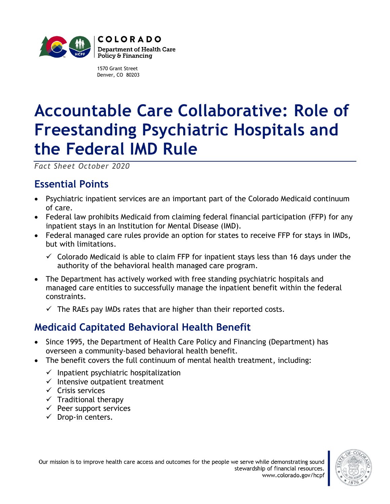

1570 Grant Street Denver, CO 80203

# **Accountable Care Collaborative: Role of Freestanding Psychiatric Hospitals and the Federal IMD Rule**

*Fact Sheet October 2020*

## **Essential Points**

- Psychiatric inpatient services are an important part of the Colorado Medicaid continuum of care.
- Federal law prohibits Medicaid from claiming federal financial participation (FFP) for any inpatient stays in an Institution for Mental Disease (IMD).
- Federal managed care rules provide an option for states to receive FFP for stays in IMDs, but with limitations.
	- $\checkmark$  Colorado Medicaid is able to claim FFP for inpatient stays less than 16 days under the authority of the behavioral health managed care program.
- The Department has actively worked with free standing psychiatric hospitals and managed care entities to successfully manage the inpatient benefit within the federal constraints.
	- $\checkmark$  The RAEs pay IMDs rates that are higher than their reported costs.

## **Medicaid Capitated Behavioral Health Benefit**

- Since 1995, the Department of Health Care Policy and Financing (Department) has overseen a community-based behavioral health benefit.
- The benefit covers the full continuum of mental health treatment, including:
	- $\checkmark$  Inpatient psychiatric hospitalization
	- $\checkmark$  Intensive outpatient treatment
	- ✓ Crisis services
	- $\checkmark$  Traditional therapy
	- $\checkmark$  Peer support services
	- $\checkmark$  Drop-in centers.

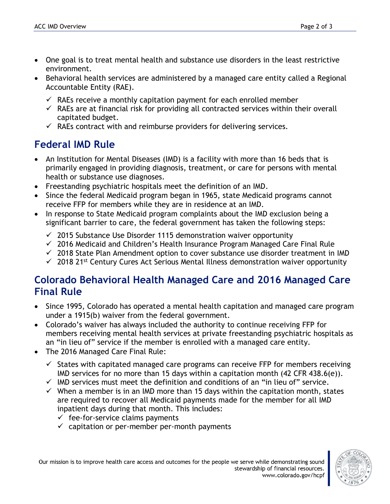- One goal is to treat mental health and substance use disorders in the least restrictive environment.
- Behavioral health services are administered by a managed care entity called a Regional Accountable Entity (RAE).
	- $\checkmark$  RAEs receive a monthly capitation payment for each enrolled member
	- $\checkmark$  RAEs are at financial risk for providing all contracted services within their overall capitated budget.
	- $\checkmark$  RAEs contract with and reimburse providers for delivering services.

# **Federal IMD Rule**

- An Institution for Mental Diseases (IMD) is a facility with more than 16 beds that is primarily engaged in providing diagnosis, treatment, or care for persons with mental health or substance use diagnoses.
- Freestanding psychiatric hospitals meet the definition of an IMD.
- Since the federal Medicaid program began in 1965, state Medicaid programs cannot receive FFP for members while they are in residence at an IMD.
- In response to State Medicaid program complaints about the IMD exclusion being a significant barrier to care, the federal government has taken the following steps:
	- $\checkmark$  2015 Substance Use Disorder 1115 demonstration waiver opportunity
	- $\checkmark$  2016 Medicaid and Children's Health Insurance Program Managed Care Final Rule
	- $\checkmark$  2018 State Plan Amendment option to cover substance use disorder treatment in IMD
	- $\checkmark$  2018 21<sup>st</sup> Century Cures Act Serious Mental Illness demonstration waiver opportunity

#### **Colorado Behavioral Health Managed Care and 2016 Managed Care Final Rule**

- Since 1995, Colorado has operated a mental health capitation and managed care program under a 1915(b) waiver from the federal government.
- Colorado's waiver has always included the authority to continue receiving FFP for members receiving mental health services at private freestanding psychiatric hospitals as an "in lieu of" service if the member is enrolled with a managed care entity.
- The 2016 Managed Care Final Rule:
	- $\checkmark$  States with capitated managed care programs can receive FFP for members receiving IMD services for no more than 15 days within a capitation month  $(42 \text{ CFR } 438.6(e))$ .
	- $\checkmark$  IMD services must meet the definition and conditions of an "in lieu of" service.
	- $\checkmark$  When a member is in an IMD more than 15 days within the capitation month, states are required to recover all Medicaid payments made for the member for all IMD inpatient days during that month. This includes:
		- $\checkmark$  fee-for-service claims payments
		- $\checkmark$  capitation or per-member per-month payments